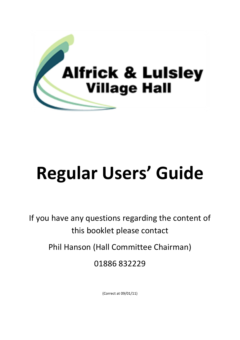

# **Regular Users' Guide**

If you have any questions regarding the content of this booklet please contact

Phil Hanson (Hall Committee Chairman)

01886 832229

(Correct at 09/01/11)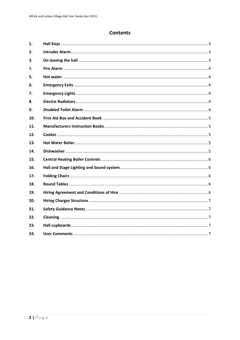# **Contents**

| 1.  |  |
|-----|--|
| 2.  |  |
| 3.  |  |
| 4.  |  |
| 5.  |  |
| 6.  |  |
| 7.  |  |
| 8.  |  |
| 9.  |  |
| 10. |  |
| 11. |  |
| 12. |  |
| 13. |  |
| 14. |  |
| 15. |  |
| 16. |  |
| 17. |  |
| 18. |  |
| 19. |  |
| 20. |  |
| 21. |  |
| 22. |  |
| 23. |  |
| 24. |  |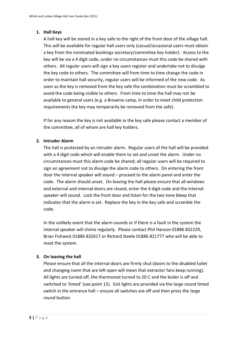# <span id="page-2-0"></span>**1. Hall Keys**

A hall key will be stored in a key safe to the right of the front door of the village hall. This will be available for regular hall users only (casual/occasional users must obtain a key from the nominated bookings secretary/committee key holder). Access to the key will be via a 4 digit code, under no circumstances must this code be shared with others. All regular users will sign a key users register and undertake not to divulge the key code to others. The committee will from time to time change the code in order to maintain hall security, regular users will be informed of the new code. As soon as the key is removed from the key safe the combination must be scrambled to avoid the code being visible to others. From time to time the hall may not be available to general users (e.g. a Brownie camp, in order to meet child protection requirements the key may temporarily be removed from the safe).

If for any reason the key is not available in the key safe please contact a member of the committee, all of whom are hall key holders.

# <span id="page-2-1"></span>**2. Intruder Alarm**

The hall is protected by an intruder alarm. Regular users of the hall will be provided with a 4 digit code which will enable them to set and unset the alarm. Under no circumstances must this alarm code be shared; all regular users will be required to sign an agreement not to divulge the alarm code to others. On entering the front door the internal speaker will sound – proceed to the alarm panel and enter the code. The alarm should unset. On leaving the hall please ensure that all windows and external and internal doors are closed, enter the 4 digit code and the internal speaker will sound. Lock the front door and listen for the two tone bleep that indicates that the alarm is set. Replace the key in the key safe and scramble the code.

In the unlikely event that the alarm sounds or if there is a fault in the system the internal speaker will chime regularly. Please contact Phil Hanson 01886 832229, Brian Fishwick 01886 832617 or Richard Steele 01886 821777 who will be able to reset the system.

# <span id="page-2-2"></span>**3. On leaving the hall**

Please ensure that all the internal doors are firmly shut (doors to the disabled toilet and changing room that are left open will mean that extractor fans keep running). All lights are turned off, the thermostat turned to 20°C and the boiler is off and switched to 'timed' (see point 15). Exit lights are provided via the large round timed switch in the entrance hall – ensure all switches are off and then press the large round button.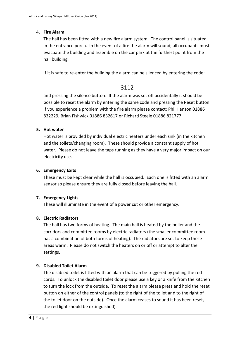#### <span id="page-3-0"></span>4. **Fire Alarm**

The hall has been fitted with a new fire alarm system. The control panel is situated in the entrance porch. In the event of a fire the alarm will sound; all occupants must evacuate the building and assemble on the car park at the furthest point from the hall building.

If it is safe to re-enter the building the alarm can be silenced by entering the code:

# 3112

and pressing the silence button. If the alarm was set off accidentally it should be possible to reset the alarm by entering the same code and pressing the Reset button. If you experience a problem with the fire alarm please contact: Phil Hanson 01886 832229, Brian Fishwick 01886 832617 or Richard Steele 01886 821777.

#### <span id="page-3-1"></span>**5. Hot water**

Hot water is provided by individual electric heaters under each sink (in the kitchen and the toilets/changing room). These should provide a constant supply of hot water. Please do not leave the taps running as they have a very major impact on our electricity use.

#### <span id="page-3-2"></span>**6. Emergency Exits**

These must be kept clear while the hall is occupied. Each one is fitted with an alarm sensor so please ensure they are fully closed before leaving the hall.

# <span id="page-3-3"></span>**7. Emergency Lights**

These will illuminate in the event of a power cut or other emergency.

# <span id="page-3-4"></span>**8. Electric Radiators**

The hall has two forms of heating. The main hall is heated by the boiler and the corridors and committee rooms by electric radiators (the smaller committee room has a combination of both forms of heating). The radiators are set to keep these areas warm. Please do not switch the heaters on or off or attempt to alter the settings.

# <span id="page-3-5"></span>**9. Disabled Toilet Alarm**

The disabled toilet is fitted with an alarm that can be triggered by pulling the red cords. To unlock the disabled toilet door please use a key or a knife from the kitchen to turn the lock from the outside. To reset the alarm please press and hold the reset button on either of the control panels (to the right of the toilet and to the right of the toilet door on the outside). Once the alarm ceases to sound it has been reset, the red light should be extinguished).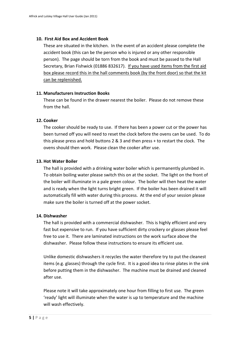#### <span id="page-4-0"></span>**10. First Aid Box and Accident Book**

These are situated in the kitchen. In the event of an accident please complete the accident book (this can be the person who is injured or any other responsible person). The page should be torn from the book and must be passed to the Hall Secretary, Brian Fishwick (01886 832617). If you have used items from the first aid box please record this in the hall comments book (by the front door) so that the kit can be replenished.

#### <span id="page-4-1"></span>**11. Manufacturers Instruction Books**

These can be found in the drawer nearest the boiler. Please do not remove these from the hall

#### <span id="page-4-2"></span>**12. Cooker**

The cooker should be ready to use. If there has been a power cut or the power has been turned off you will need to reset the clock before the ovens can be used. To do this please press and hold buttons 2 & 3 and then press + to restart the clock. The ovens should then work. Please clean the cooker after use.

# <span id="page-4-3"></span>**13. Hot Water Boiler**

The hall is provided with a drinking water boiler which is permanently plumbed in. To obtain boiling water please switch this on at the socket. The light on the front of the boiler will illuminate in a pale green colour. The boiler will then heat the water and is ready when the light turns bright green. If the boiler has been drained it will automatically fill with water during this process. At the end of your session please make sure the boiler is turned off at the power socket.

# <span id="page-4-4"></span>**14. Dishwasher**

The hall is provided with a commercial dishwasher. This is highly efficient and very fast but expensive to run. If you have sufficient dirty crockery or glasses please feel free to use it. There are laminated instructions on the work surface above the dishwasher. Please follow these instructions to ensure its efficient use.

Unlike domestic dishwashers it recycles the water therefore try to put the cleanest items (e.g. glasses) through the cycle first. It is a good idea to rinse plates in the sink before putting them in the dishwasher. The machine must be drained and cleaned after use.

Please note it will take approximately one hour from filling to first use. The green 'ready' light will illuminate when the water is up to temperature and the machine will wash effectively.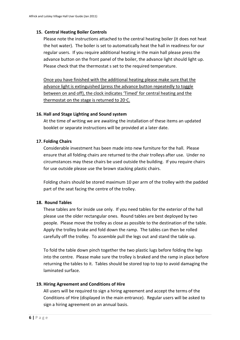#### **15. Central Heating Boiler Controls**

<span id="page-5-0"></span>Please note the instructions attached to the central heating boiler (it does not heat the hot water). The boiler is set to automatically heat the hall in readiness for our regular users. If you require additional heating in the main hall please press the advance button on the front panel of the boiler, the advance light should light up. Please check that the thermostat s set to the required temperature.

Once you have finished with the additional heating please make sure that the advance light is extinguished (press the advance button repeatedly to toggle between on and off), the clock indicates 'Timed' for central heating and the thermostat on the stage is returned to 20°C.

#### <span id="page-5-1"></span>**16. Hall and Stage Lighting and Sound system**

At the time of writing we are awaiting the installation of these items an updated booklet or separate instructions will be provided at a later date.

#### <span id="page-5-2"></span>**17. Folding Chairs**

Considerable investment has been made into new furniture for the hall. Please ensure that all folding chairs are returned to the chair trolleys after use. Under no circumstances may these chairs be used outside the building. If you require chairs for use outside please use the brown stacking plastic chairs.

Folding chairs should be stored maximum 10 per arm of the trolley with the padded part of the seat facing the centre of the trolley.

# <span id="page-5-3"></span>**18. Round Tables**

These tables are for inside use only. If you need tables for the exterior of the hall please use the older rectangular ones. Round tables are best deployed by two people. Please move the trolley as close as possible to the destination of the table. Apply the trolley brake and fold down the ramp. The tables can then be rolled carefully off the trolley. To assemble pull the legs out and stand the table up.

To fold the table down pinch together the two plastic lugs before folding the legs into the centre. Please make sure the trolley is braked and the ramp in place before returning the tables to it. Tables should be stored top to top to avoid damaging the laminated surface.

#### <span id="page-5-4"></span>**19. Hiring Agreement and Conditions of Hire**

All users will be required to sign a hiring agreement and accept the terms of the Conditions of Hire (displayed in the main entrance). Regular users will be asked to sign a hiring agreement on an annual basis.